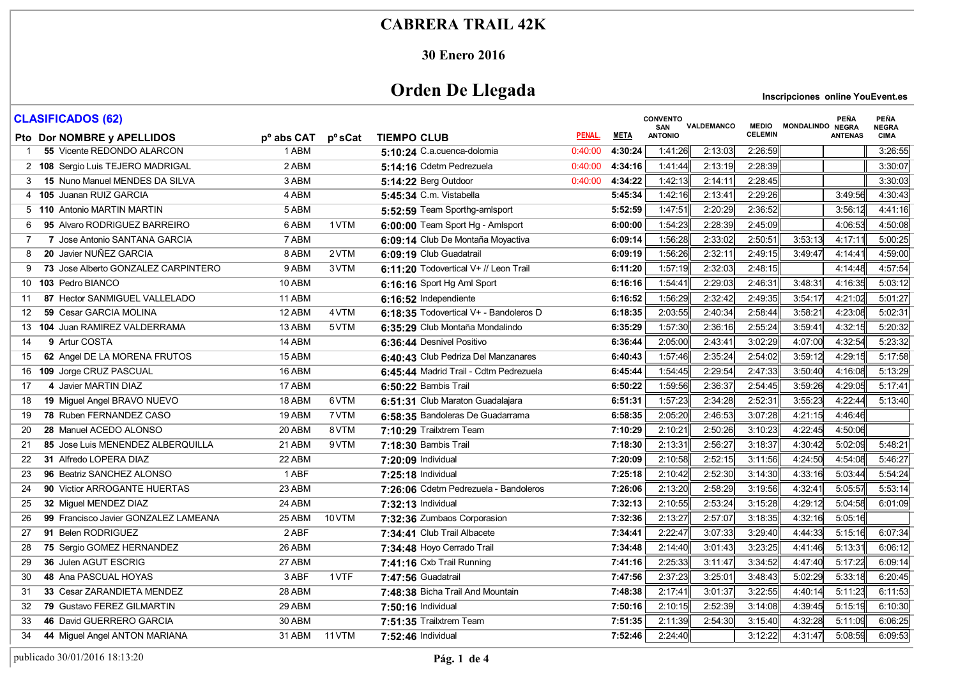#### **30 Enero 2016**

# **Orden De Llegada**

| <b>CLASIFICADOS (62)</b>                   |                        |        |                                        |         |             | <b>CONVENTO</b><br>SAN | VALDEMANCO |                | MEDIO MONDALINDO NEGRA | PEÑA           | <b>PEÑA</b><br><b>NEGRA</b> |
|--------------------------------------------|------------------------|--------|----------------------------------------|---------|-------------|------------------------|------------|----------------|------------------------|----------------|-----------------------------|
| Pto Dor NOMBRE y APELLIDOS                 | p <sup>o</sup> abs CAT | pºsCat | <b>TIEMPO CLUB</b>                     | PENAL.  | <b>META</b> | <b>ANTONIO</b>         |            | <b>CELEMIN</b> |                        | <b>ANTENAS</b> | <b>CIMA</b>                 |
| 55 Vicente REDONDO ALARCON                 | 1 ABM                  |        | 5:10:24 C.a.cuenca-dolomia             | 0:40:00 | 4:30:24     | 1:41:26                | 2:13:03    | 2:26:59        |                        |                | 3:26:55                     |
| 2 108 Sergio Luis TEJERO MADRIGAL          | 2 ABM                  |        | 5:14:16 Cdetm Pedrezuela               | 0:40:00 | 4:34:16     | 1.41.44                | 2:13:19    | 2:28:39        |                        |                | 3:30:07                     |
| 15 Nuno Manuel MENDES DA SILVA<br>3        | 3 ABM                  |        | 5:14:22 Berg Outdoor                   | 0:40:00 | 4:34:22     | 1:42:13                | 2:14:11    | 2:28:45        |                        |                | 3:30:03                     |
| 4 105 Juanan RUIZ GARCIA                   | 4 ABM                  |        | 5:45:34 C.m. Vistabella                |         | 5:45:34     | 1:42:16                | 2:13:41    | 2:29:26        |                        | 3:49:56        | 4:30:43                     |
| 5 110 Antonio MARTIN MARTIN                | 5 ABM                  |        | 5:52:59 Team Sporthg-amlsport          |         | 5:52:59     | 1:47:51                | 2:20:29    | 2:36:52        |                        | 3.56:12        | 4 41 16                     |
| 95 Alvaro RODRIGUEZ BARREIRO<br>6          | 6 ABM                  | 1 VTM  | 6:00:00 Team Sport Hg - Amlsport       |         | 6:00:00     | 1:54:23                | 2:28:39    | 2:45:09        |                        | 4:06:53        | 4:50:08                     |
| 7 Jose Antonio SANTANA GARCIA<br>7         | 7 ABM                  |        | 6:09:14 Club De Montaña Moyactiva      |         | 6:09:14     | 1:56:28                | 2:33:02    | 2:50:51        | 3:53:13                | 4:17:11        | 5:00:25                     |
| 20 Javier NUÑEZ GARCIA<br>8                | 8 ABM                  | 2VTM   | 6:09:19 Club Guadatrail                |         | 6:09:19     | 1:56:26                | 2:32:11    | 2:49:15        | 3:49:47                | 4:14:41        | 4:59:00                     |
| 73 Jose Alberto GONZALEZ CARPINTERO<br>9   | 9 ABM                  | 3 VTM  | 6:11:20 Todovertical V+ // Leon Trail  |         | 6:11:20     | 1:57:19                | 2:32:03    | 2:48:15        |                        | 4:14:48        | 4:57:54                     |
| 103 Pedro BIANCO<br>10                     | 10 ABM                 |        | 6:16:16 Sport Hg Aml Sport             |         | 6:16:16     | 1:54:41                | 2:29:03    | 2:46:31        | 3:48:31                | 4:16:35        | 5:03:12                     |
| 87 Hector SANMIGUEL VALLELADO<br>11        | 11 ABM                 |        | 6:16:52 Independiente                  |         | 6:16:52     | 1:56:29                | 2:32:42    | 2:49:35        | 3:54:17                | 4:21:02        | 5:01:27                     |
| 59 Cesar GARCIA MOLINA<br>12               | 12 ABM                 | 4 VTM  | 6:18:35 Todovertical V+ - Bandoleros D |         | 6:18:35     | 2:03:55                | 2:40:34    | 2:58:44        | 3:58:21                | 4:23:08        | 5:02:31                     |
| 104 Juan RAMIREZ VALDERRAMA<br>13          | 13 ABM                 | 5VTM   | 6:35:29 Club Montaña Mondalindo        |         | 6:35:29     | 1:57:30                | 2:36:16    | 2:55:24        | 3:59:41                | 4:32:15        | 5:20:32                     |
| 9 Artur COSTA<br>14                        | 14 ABM                 |        | 6:36:44 Desnivel Positivo              |         | 6:36:44     | 2:05:00                | 2:43:41    | 3:02:29        | 4:07:00                | 4:32:54        | 5:23:32                     |
| 62 Angel DE LA MORENA FRUTOS<br>15         | 15 ABM                 |        | 6:40:43 Club Pedriza Del Manzanares    |         | 6:40:43     | 1.57:46                | 2:35:24    | 2:54:02        | 3:59:12                | 4:29:15        | 5:17:58                     |
| 109 Jorge CRUZ PASCUAL<br>16               | 16 ABM                 |        | 6:45:44 Madrid Trail - Cdtm Pedrezuela |         | 6:45:44     | 1:54:45                | 2:29:54    | 2:47:33        | 3:50:40                | 4:16:08        | 5:13:29                     |
| 4 Javier MARTIN DIAZ<br>17                 | 17 ABM                 |        | 6:50:22 Bambis Trail                   |         | 6:50:22     | 1:59:56                | 2:36:37    | 2:54:45        | 3:59:26                | 4:29:05        | 5:17:41                     |
| 19 Miguel Angel BRAVO NUEVO<br>18          | 18 ABM                 | 6VTM   | 6:51:31 Club Maraton Guadalajara       |         | 6:51:31     | 1.57.23                | 2:34:28    | 2:52:31        | 3:55:23                | 4:22:44        | 5:13:40                     |
| 78 Ruben FERNANDEZ CASO<br>19              | 19 ABM                 | 7 VTM  | 6:58:35 Bandoleras De Guadarrama       |         | 6:58:35     | 2:05:20                | 2:46:53    | 3:07:28        | 4:21:15                | 4:46:46        |                             |
| 28 Manuel ACEDO ALONSO<br>20               | 20 ABM                 | 8VTM   | 7:10:29 Trailxtrem Team                |         | 7:10:29     | 2:10:21                | 2:50:26    | 3:10:23        | 4:22:45                | 4:50:06        |                             |
| 85 Jose Luis MENENDEZ ALBERQUILLA<br>21    | 21 ABM                 | 9VTM   | 7:18:30 Bambis Trail                   |         | 7:18:30     | 2:13:31                | 2:56:27    | 3:18:37        | 4:30:42                | 5:02:09        | 5:48:21                     |
| 31 Alfredo LOPERA DIAZ<br>22               | 22 ABM                 |        | 7:20:09 Individual                     |         | 7:20:09     | 2:10:58                | 2:52:15    | 3:11:56        | 4:24:50                | 4:54:08        | 5:46:27                     |
| 96 Beatriz SANCHEZ ALONSO<br>23            | 1 ABF                  |        | 7:25:18 Individual                     |         | 7:25:18     | 2:10:42                | 2:52:30    | 3:14:30        | 4:33:16                | 5:03:44        | 5:54:24                     |
| 90 Victior ARROGANTE HUERTAS<br>24         | 23 ABM                 |        | 7:26:06 Cdetm Pedrezuela - Bandoleros  |         | 7:26:06     | 2:13:20                | 2:58:29    | 3:19:56        | 4:32:41                | 5:05:57        | 5:53:14                     |
| 32 Miguel MENDEZ DIAZ<br>25                | 24 ABM                 |        | 7:32:13 Individual                     |         | 7:32:13     | 2:10:55                | 2:53:24    | 3:15:28        | 4:29:12                | 5:04:58        | 6:01:09                     |
| 99 Francisco Javier GONZALEZ LAMEANA<br>26 | 25 ABM                 | 10 VTM | 7:32:36 Zumbaos Corporasion            |         | 7:32:36     | 2:13:27                | 2:57:07    | 3:18:35        | 4:32:16                | 5:05:16        |                             |
| 91 Belen RODRIGUEZ<br>27                   | 2 ABF                  |        | 7:34:41 Club Trail Albacete            |         | 7:34:41     | 2:22:47                | 3:07:33    | 3:29:40        | 4:44:33                | 5:15:16        | 6:07:34                     |
| 75 Sergio GOMEZ HERNANDEZ<br>28            | 26 ABM                 |        | 7:34:48 Hoyo Cerrado Trail             |         | 7:34:48     | 2:14:40                | 3:01:43    | 3:23:25        | 4.41.46                | 5:13:31        | 6:06:12                     |
| 36 Julen AGUT ESCRIG<br>29                 | 27 ABM                 |        | 7:41:16 Cxb Trail Running              |         | 7:41:16     | 2:25:33                | 3:11:47    | 3:34:52        | 4:47:40                | 5:17:22        | 6:09:14                     |
| 48 Ana PASCUAL HOYAS<br>30                 | 3 ABF                  | 1 VTF  | 7:47:56 Guadatrail                     |         | 7:47:56     | 2:37:23                | 3:25:01    | 3:48:43        | 5:02:29                | 5:33:18        | 6:20:45                     |
| 33 Cesar ZARANDIETA MENDEZ<br>31           | 28 ABM                 |        | 7:48:38 Bicha Trail And Mountain       |         | 7:48:38     | 2:17:41                | 3:01:37    | 3:22:55        | 4:40:14                | 5:11:23        | 6:11:53                     |
| 79 Gustavo FEREZ GILMARTIN<br>32           | 29 ABM                 |        | 7:50:16 Individual                     |         | 7:50:16     | 2:10:15                | 2:52:39    | 3:14:08        | 4:39:45                | 5:15:19        | 6:10:30                     |
| 46 David GUERRERO GARCIA<br>33             | 30 ABM                 |        | 7:51:35 Trailxtrem Team                |         | 7:51:35     | 2:11:39                | 2:54:30    | 3:15:40        | 4 32 28                | 5:11:09        | 6:06:25                     |
| 44 Miguel Angel ANTON MARIANA<br>34        | 31 ABM                 | 11 VTM | 7:52:46 Individual                     |         | 7:52:46     | 2:24:40                |            | 3:12:22        | 4:31:47                | 5:08:59        | 6:09:53                     |
|                                            |                        |        |                                        |         |             |                        |            |                |                        |                |                             |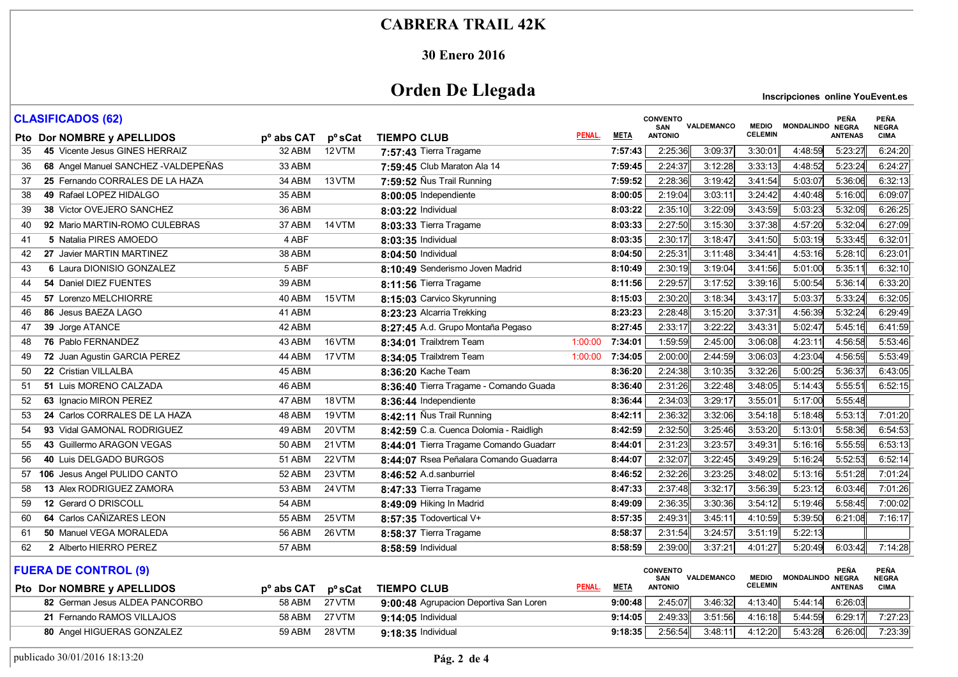#### **30 Enero 2016**

# **Orden De Llegada**

|    | <b>CLASIFICADOS (62)</b>             |                        |                            |                                        |              |             | <b>CONVENTO</b><br>SAN                           | VALDEMANCO | <b>MEDIO</b>   | MONDALINDO NEGRA       | <b>PEÑA</b>    | <b>PEÑA</b><br><b>NEGRA</b> |
|----|--------------------------------------|------------------------|----------------------------|----------------------------------------|--------------|-------------|--------------------------------------------------|------------|----------------|------------------------|----------------|-----------------------------|
|    | Pto Dor NOMBRE y APELLIDOS           | p <sup>o</sup> abs CAT | <b>p</b> <sup>o</sup> sCat | <b>TIEMPO CLUB</b>                     | PENAL.       | <b>META</b> | <b>ANTONIO</b>                                   |            | <b>CELEMIN</b> |                        | <b>ANTENAS</b> | <b>CIMA</b>                 |
| 35 | 45 Vicente Jesus GINES HERRAIZ       | 32 ABM                 | 12 VTM                     | 7:57:43 Tierra Tragame                 |              | 7:57:43     | 2:25:36                                          | 3:09:37    | 3.30.01        | 4 48 59                | 5:23:27        | 6:24:20                     |
| 36 | 68 Angel Manuel SANCHEZ - VALDEPEÑAS | 33 ABM                 |                            | 7:59:45 Club Maraton Ala 14            |              | 7:59:45     | 2:24:37                                          | 3:12:28    | 3:33:13        | 4:48:52                | 5:23:24        | 6:24:27                     |
| 37 | 25 Fernando CORRALES DE LA HAZA      | 34 ABM                 | 13 VTM                     | 7:59:52 Nus Trail Running              |              | 7:59:52     | 2:28:36                                          | 3:19:42    | 3.41:54        | 5:03:07                | 5:36:06        | 6:32:13                     |
| 38 | 49 Rafael LOPEZ HIDALGO              | 35 ABM                 |                            | 8:00:05 Independiente                  |              | 8:00:05     | 2:19:04                                          | 3:03:11    | 3:24:42        | 4:40:48                | 5:16:00        | 6:09:07                     |
| 39 | 38 Victor OVEJERO SANCHEZ            | 36 ABM                 |                            | 8:03:22 Individual                     |              | 8:03:22     | 2:35:10                                          | 3:22:09    | 3:43:59        | 5:03:23                | 5:32:09        | 6:26:25                     |
| 40 | 92 Mario MARTIN-ROMO CULEBRAS        | 37 ABM                 | 14 VTM                     | 8:03:33 Tierra Tragame                 |              | 8:03:33     | 2:27:50                                          | 3:15:30    | 3:37:38        | 4:57:20                | 5:32:04        | 6:27:09                     |
| 41 | 5 Natalia PIRES AMOEDO               | 4 ABF                  |                            | 8:03:35 Individual                     |              | 8:03:35     | 2:30:17                                          | 3:18:47    | 3:41:50        | 5:03:19                | 5:33:45        | 6:32:01                     |
| 42 | 27 Javier MARTIN MARTINEZ            | 38 ABM                 |                            | 8:04:50 Individual                     |              | 8:04:50     | 2:25:31                                          | 3:11:48    | 3:34:41        | 4:53:16                | 5:28:10        | 6:23:01                     |
| 43 | 6 Laura DIONISIO GONZALEZ            | 5 ABF                  |                            | 8:10:49 Senderismo Joven Madrid        |              | 8:10:49     | 2:30:19                                          | 3:19:04    | 3.41.56        | 5:01:00                | 5:35:11        | 6:32:10                     |
| 44 | 54 Daniel DIEZ FUENTES               | 39 ABM                 |                            | 8:11:56 Tierra Tragame                 |              | 8:11:56     | 2:29:57                                          | 3:17:52    | 3:39:16        | 5:00:54                | 5:36:14        | 6:33:20                     |
| 45 | 57 Lorenzo MELCHIORRE                | 40 ABM                 | 15 VTM                     | 8:15:03 Carvico Skyrunning             |              | 8:15:03     | 2:30:20                                          | 3:18:34    | 3:43:17        | 5:03:37                | 5:33:24        | 6:32:05                     |
| 46 | 86 Jesus BAEZA LAGO                  | 41 ABM                 |                            | 8:23:23 Alcarria Trekking              |              | 8:23:23     | 2:28:48                                          | 3:15:20    | 3:37:31        | 4:56:39                | 5:32:24        | 6:29:49                     |
| 47 | 39 Jorge ATANCE                      | 42 ABM                 |                            | 8:27:45 A.d. Grupo Montaña Pegaso      |              | 8:27:45     | 2:33:17                                          | 3:22:22    | 3:43:31        | 5:02:47                | 5:45:16        | 6:41:59                     |
| 48 | 76 Pablo FERNANDEZ                   | 43 ABM                 | 16 VTM                     | 8:34:01 Trailxtrem Team                | 1:00:00      | 7:34:01     | 1:59:59                                          | 2:45:00    | 3:06:08        | 4:23:11                | 4:56:58        | 5:53:46                     |
| 49 | 72 Juan Agustin GARCIA PEREZ         | 44 ABM                 | 17 VTM                     | 8:34:05 Trailxtrem Team                | 1:00:00      | 7:34:05     | 2:00:00                                          | 2:44:59    | 3:06:03        | 4:23:04                | 4:56:59        | 5:53:49                     |
| 50 | 22 Cristian VILLALBA                 | 45 ABM                 |                            | 8:36:20 Kache Team                     |              | 8:36:20     | 2:24:38                                          | 3:10:35    | 3:32:26        | 5:00:25                | 5:36:37        | 6:43:05                     |
| 51 | 51 Luis MORENO CALZADA               | 46 ABM                 |                            | 8:36:40 Tierra Tragame - Comando Guada |              | 8:36:40     | 2:31:26                                          | 3:22:48    | 3.48:05        | 5:14:43                | 5:55:51        | 6:52:15                     |
| 52 | 63 Ignacio MIRON PEREZ               | 47 ABM                 | 18 VTM                     | 8:36:44 Independiente                  |              | 8:36:44     | 2:34:03                                          | 3:29:17    | 3:55:01        | 5:17:00                | 5:55:48        |                             |
| 53 | 24 Carlos CORRALES DE LA HAZA        | 48 ABM                 | 19 VTM                     | 8:42:11 Nus Trail Running              |              | 8:42:11     | 2:36:32                                          | 3:32:06    | 3:54:18        | 5:18:48                | 5:53:13        | 7:01:20                     |
| 54 | 93 Vidal GAMONAL RODRIGUEZ           | 49 ABM                 | 20 VTM                     | 8:42:59 C.a. Cuenca Dolomia - Raidligh |              | 8:42:59     | 2:32:50                                          | 3:25:46    | 3:53:20        | 5:13:01                | 5:58:36        | 6:54:53                     |
| 55 | 43 Guillermo ARAGON VEGAS            | 50 ABM                 | 21 VTM                     | 8:44:01 Tierra Tragame Comando Guadarr |              | 8:44:01     | 2:31:23                                          | 3:23:57    | 3:49:31        | 5:16:16                | 5:55:59        | 6:53:13                     |
| 56 | 40 Luis DELGADO BURGOS               | 51 ABM                 | 22 VTM                     | 8:44:07 Rsea Peñalara Comando Guadarra |              | 8:44:07     | 2:32:07                                          | 3:22:45    | 3:49:29        | 5:16:24                | 5:52:53        | 6:52:14                     |
| 57 | 106 Jesus Angel PULIDO CANTO         | 52 ABM                 | 23 VTM                     | 8:46:52 A.d.sanburriel                 |              | 8:46:52     | 2:32:26                                          | 3:23:25    | 3:48:02        | 5:13:16                | 5:51:28        | 7:01:24                     |
| 58 | 13 Alex RODRIGUEZ ZAMORA             | 53 ABM                 | 24 VTM                     | 8:47:33 Tierra Tragame                 |              | 8:47:33     | 2:37:48                                          | 3:32:17    | 3:56:39        | 5:23:12                | 6:03:46        | 7:01:26                     |
| 59 | 12 Gerard O DRISCOLL                 | 54 ABM                 |                            | 8:49:09 Hiking In Madrid               |              | 8:49:09     | 2:36:35                                          | 3:30:36    | 3:54:12        | 5:19:46                | 5.58.45        | 7:00:02                     |
| 60 | 64 Carlos CAÑIZARES LEON             | 55 ABM                 | 25 VTM                     | 8:57:35 Todovertical V+                |              | 8:57:35     | 2:49:31                                          | 3:45:11    | 4:10:59        | 5:39:50                | 6:21:08        | 7:16:17                     |
| 61 | 50 Manuel VEGA MORALEDA              | 56 ABM                 | 26 VTM                     | 8:58:37 Tierra Tragame                 |              | 8:58:37     | 2:31:54                                          | 3:24:57    | 3:51:19        | 5:22:13                |                |                             |
| 62 | 2 Alberto HIERRO PEREZ               | 57 ABM                 |                            | 8:58:59 Individual                     |              | 8:58:59     | 2:39:00                                          | 3:37:21    | 4:01:27        | 5:20:49                | 6:03:42        | 7:14:28                     |
|    | <b>FUERA DE CONTROL (9)</b>          |                        |                            |                                        | <b>DEMAL</b> | <b>META</b> | <b>CONVENTO</b><br><b>SAN</b><br><b>NITONIIO</b> | VALDEMANCO | CELEMIN        | MEDIO MONDALINDO NEGRA | PEÑA           | <b>PEÑA</b><br><b>NEGRA</b> |

| Pto Dor NOMBRE v APELLIDOS     | p <sup>o</sup> abs CAT | <b>p</b> <sup>o</sup> sCat | TIEMPO CLUB                            | <b>PENAL</b> | <b>META</b> | <b>ANTONIO</b> |         | <b>CELEMIN</b> |         | <b>ANTENAS</b> | CIMA    |
|--------------------------------|------------------------|----------------------------|----------------------------------------|--------------|-------------|----------------|---------|----------------|---------|----------------|---------|
| 82 German Jesus ALDEA PANCORBO | 58 ABM                 | 27 VTM                     | 9:00:48 Agrupacion Deportiva San Loren |              | 9:00:48     | 2:45:07        | 3:46:32 | 4.13.40        | 5:44:14 | 6.26.03        |         |
| 21 Fernando RAMOS VILLAJOS     | 58 ABM                 | 27 VTM                     | $9:14:05$ Individual                   |              | 9:14:05     | 2:49:33        | 3:51:56 | 4:16:18        | 5:44:59 | 6:29:17        | 7:27:23 |
| 80 Angel HIGUERAS GONZALEZ     | 59 ABM                 | 28 VTM                     | $9:18:35$ Individual                   |              | 9:18:35     | 2:56:54        | 3:48:11 | 4:12:20        | 5:43:28 | 6:26:00        | 7:23:39 |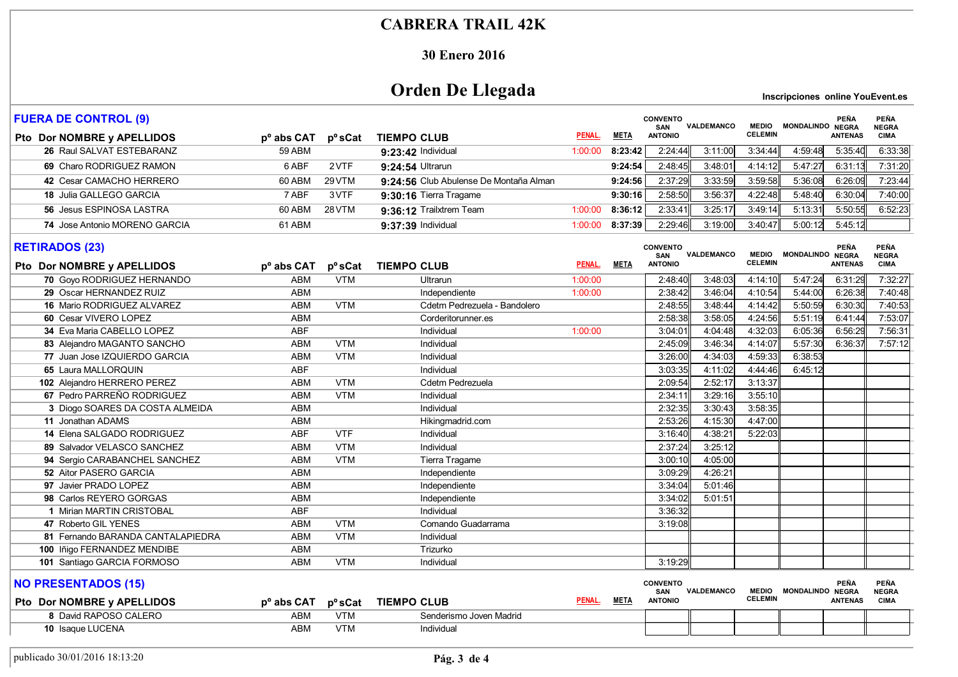#### **30 Enero 2016**

# **Orden De Llegada**

| <b>FUERA DE CONTROL (9)</b>                                    |                          |                          |                                        | <b>CONVENTO</b><br>VALDEMANCO<br>SAN |             | <b>MEDIO</b>                             | MONDALINDO NEGRA   | <b>PEÑA</b>                    | <b>PEÑA</b><br><b>NEGRA</b> |                                               |                                     |
|----------------------------------------------------------------|--------------------------|--------------------------|----------------------------------------|--------------------------------------|-------------|------------------------------------------|--------------------|--------------------------------|-----------------------------|-----------------------------------------------|-------------------------------------|
| Pto Dor NOMBRE y APELLIDOS                                     | p <sup>o</sup> abs CAT   | pºsCat                   | <b>TIEMPO CLUB</b>                     | PENAL.                               | <b>META</b> | <b>ANTONIO</b>                           |                    | <b>CELEMIN</b>                 |                             | <b>ANTENAS</b>                                | <b>CIMA</b>                         |
| 26 Raul SALVAT ESTEBARANZ                                      | <b>59 ABM</b>            |                          | 9:23:42 Individual                     | 1:00:00                              | 8:23:42     | 2:24:44                                  | 3:11:00            | 3:34:44                        | 4:59:48                     | 5:35:40                                       | 6:33:38                             |
| 69 Charo RODRIGUEZ RAMON                                       | 6 ABF                    | 2VTF                     | 9:24:54 Ultrarun                       |                                      | 9:24:54     | 2:48:45                                  | 3:48:01            | 4:14:12                        | 5:47:27                     | 6:31:13                                       | 7:31:20                             |
| 42 Cesar CAMACHO HERRERO                                       | 60 ABM                   | 29 VTM                   | 9:24:56 Club Abulense De Montaña Alman |                                      | 9:24:56     | 2:37:29                                  | 3:33:59            | 3:59:58                        | 5:36:08                     | 6.26.09                                       | 7:23:44                             |
| 18 Julia GALLEGO GARCIA                                        | 7 ABF                    | 3VTF                     | 9:30:16 Tierra Tragame                 |                                      | 9:30:16     | 2:58:50                                  | 3:56:37            | 4:22:48                        | 5:48:40                     | 6:30:04                                       | 7:40:00                             |
| 56 Jesus ESPINOSA LASTRA                                       | 60 ABM                   | 28 VTM                   | 9:36:12 Trailxtrem Team                | 1:00:00                              | 8:36:12     | 2:33:41                                  | 3:25:17            | 3:49:14                        | 5:13:31                     | 5:50:55                                       | 6:52:23                             |
| 74 Jose Antonio MORENO GARCIA                                  | 61 ABM                   |                          | 9:37:39 Individual                     | 1:00:00                              | 8:37:39     | 2:29:46                                  | 3:19:00            | 3:40:47                        | 5:00:12                     | 5:45:12                                       |                                     |
| <b>RETIRADOS (23)</b>                                          |                          |                          |                                        |                                      |             | <b>CONVENTO</b><br><b>SAN</b>            | VALDEMANCO         | <b>MEDIO</b><br><b>CELEMIN</b> | MONDALINDO NEGRA            | <b>PEÑA</b>                                   | <b>PEÑA</b><br><b>NEGRA</b>         |
| Pto Dor NOMBRE y APELLIDOS                                     | p <sup>o</sup> abs CAT   |                          | p°sCat TIEMPO CLUB                     | PENAL.                               | <b>META</b> | <b>ANTONIO</b>                           |                    |                                |                             | <b>ANTENAS</b>                                | <b>CIMA</b>                         |
| 70 Goyo RODRIGUEZ HERNANDO                                     | <b>ABM</b>               | <b>VTM</b>               | Ultrarun                               | 1:00:00                              |             | 2:48:40                                  | 3:48:03            | 4:14:10                        | 5:47:24                     | 6:31:29                                       | 7:32:27                             |
| 29 Oscar HERNANDEZ RUIZ                                        | <b>ABM</b>               |                          | Independiente                          | 1:00:00                              |             | 2:38:42                                  | 3:46:04            | 4:10:54                        | 5:44:00                     | 6:26:38                                       | 7:40:48                             |
| <b>16 Mario RODRIGUEZ ALVAREZ</b>                              | ABM                      | <b>VTM</b>               | Cdetm Pedrezuela - Bandolero           |                                      |             | 2:48:55                                  | 3:48:44            | 4 14 42                        | 5:50:59                     | 6:30:30                                       | 7:40:53                             |
| 60 Cesar VIVERO LOPEZ                                          | <b>ABM</b>               |                          | Corderitorunner.es                     |                                      |             | 2:58:38                                  | 3:58:05            | 4:24:56                        | 5:51:19                     | 6:41:44                                       | 7:53:07                             |
| 34 Eva Maria CABELLO LOPEZ                                     | <b>ABF</b>               | <b>VTM</b>               | Individual                             | 1:00:00                              |             | 3.04.0'                                  | 4:04:48            | 4:32:03                        | 6:05:36                     | 6:56:29                                       | 7:56:31                             |
| 83 Alejandro MAGANTO SANCHO                                    | <b>ABM</b><br>ABM        | <b>VTM</b>               | Individual                             |                                      |             | 2:45:09                                  | 3:46:34            | 4:14:07                        | 5:57:30                     | 6:36:37                                       | 7:57:12                             |
| 77 Juan Jose IZQUIERDO GARCIA<br>65 Laura MALLORQUIN           | <b>ABF</b>               |                          | Individual                             |                                      |             | 3:26:00<br>3:03:35                       | 4:34:03<br>4:11:02 | 4:59:33<br>4:44:46             | 6:38:53<br>6:45:12          |                                               |                                     |
|                                                                |                          |                          | Individual                             |                                      |             |                                          |                    |                                |                             |                                               |                                     |
| 102 Alejandro HERRERO PEREZ<br>67 Pedro PARREÑO RODRIGUEZ      | <b>ABM</b><br><b>ABM</b> | <b>VTM</b><br><b>VTM</b> | Cdetm Pedrezuela                       |                                      |             | 2:09:54<br>2:34:1'                       | 2:52:17<br>3:29:16 | 3:13:37<br>3:55:10             |                             |                                               |                                     |
| 3 Diogo SOARES DA COSTA ALMEIDA                                | <b>ABM</b>               |                          | Individual<br>Individual               |                                      |             | 2:32:35                                  | 3:30:43            | 3:58:35                        |                             |                                               |                                     |
| 11 Jonathan ADAMS                                              | <b>ABM</b>               |                          | Hikingmadrid.com                       |                                      |             | 2:53:26                                  | 4:15:30            | 4:47:00                        |                             |                                               |                                     |
| 14 Elena SALGADO RODRIGUEZ                                     | <b>ABF</b>               | <b>VTF</b>               | Individual                             |                                      |             | 3:16:40                                  | 4:38:21            | 5:22:03                        |                             |                                               |                                     |
| 89 Salvador VELASCO SANCHEZ                                    | ABM                      | <b>VTM</b>               | Individual                             |                                      |             | 2:37:24                                  | 3:25:12            |                                |                             |                                               |                                     |
|                                                                | <b>ABM</b>               | <b>VTM</b>               |                                        |                                      |             | 3:00:10                                  | 4:05:00            |                                |                             |                                               |                                     |
| 94 Sergio CARABANCHEL SANCHEZ<br><b>52 Aitor PASERO GARCIA</b> | <b>ABM</b>               |                          | Tierra Tragame<br>Independiente        |                                      |             | 3:09:29                                  | 4:26:21            |                                |                             |                                               |                                     |
| 97 Javier PRADO LOPEZ                                          | <b>ABM</b>               |                          | Independiente                          |                                      |             | 3:34:04                                  | 5:01:46            |                                |                             |                                               |                                     |
| 98 Carlos REYERO GORGAS                                        | <b>ABM</b>               |                          | Independiente                          |                                      |             | 3:34:02                                  | 5:01:51            |                                |                             |                                               |                                     |
| 1 Mirian MARTIN CRISTOBAL                                      | <b>ABF</b>               |                          | Individual                             |                                      |             | 3:36:32                                  |                    |                                |                             |                                               |                                     |
| 47 Roberto GIL YENES                                           | <b>ABM</b>               | <b>VTM</b>               | Comando Guadarrama                     |                                      |             | 3:19:08                                  |                    |                                |                             |                                               |                                     |
| 81 Fernando BARANDA CANTALAPIEDRA                              | <b>ABM</b>               | <b>VTM</b>               | Individual                             |                                      |             |                                          |                    |                                |                             |                                               |                                     |
| 100 Iñigo FERNANDEZ MENDIBE                                    | <b>ABM</b>               |                          | Trizurko                               |                                      |             |                                          |                    |                                |                             |                                               |                                     |
| 101 Santiago GARCIA FORMOSO                                    | <b>ABM</b>               | <b>VTM</b>               | Individual                             |                                      |             | 3:19:29                                  |                    |                                |                             |                                               |                                     |
| <b>NO PRESENTADOS (15)</b><br>Pto Dor NOMBRE y APELLIDOS       | p <sup>o</sup> abs CAT   | p <sup>o</sup> sCat      | <b>TIEMPO CLUB</b>                     | PENAL.                               | <b>META</b> | <b>CONVENTO</b><br>SAN<br><b>ANTONIO</b> | VALDEMANCO         | <b>MEDIO</b><br><b>CELEMIN</b> | <b>MONDALINDO</b>           | <b>PEÑA</b><br><b>NEGRA</b><br><b>ANTENAS</b> | <b>PEÑA</b><br><b>NEGRA</b><br>CIMA |
| 8 David RAPOSO CALERO                                          | <b>ABM</b>               | <b>VTM</b>               | Senderismo Joven Madrid                |                                      |             |                                          |                    |                                |                             |                                               |                                     |
| 10 Isaque LUCENA                                               | <b>ABM</b>               | <b>VTM</b>               | Individual                             |                                      |             |                                          |                    |                                |                             |                                               |                                     |
|                                                                |                          |                          |                                        |                                      |             |                                          |                    |                                |                             |                                               |                                     |